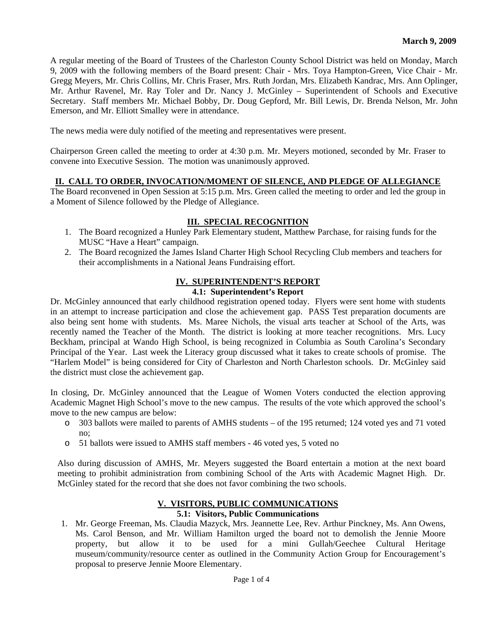A regular meeting of the Board of Trustees of the Charleston County School District was held on Monday, March 9, 2009 with the following members of the Board present: Chair - Mrs. Toya Hampton-Green, Vice Chair - Mr. Gregg Meyers, Mr. Chris Collins, Mr. Chris Fraser, Mrs. Ruth Jordan, Mrs. Elizabeth Kandrac, Mrs. Ann Oplinger, Mr. Arthur Ravenel, Mr. Ray Toler and Dr. Nancy J. McGinley – Superintendent of Schools and Executive Secretary. Staff members Mr. Michael Bobby, Dr. Doug Gepford, Mr. Bill Lewis, Dr. Brenda Nelson, Mr. John Emerson, and Mr. Elliott Smalley were in attendance.

The news media were duly notified of the meeting and representatives were present.

Chairperson Green called the meeting to order at 4:30 p.m. Mr. Meyers motioned, seconded by Mr. Fraser to convene into Executive Session. The motion was unanimously approved.

#### **II. CALL TO ORDER, INVOCATION/MOMENT OF SILENCE, AND PLEDGE OF ALLEGIANCE**

The Board reconvened in Open Session at 5:15 p.m. Mrs. Green called the meeting to order and led the group in a Moment of Silence followed by the Pledge of Allegiance.

#### **III. SPECIAL RECOGNITION**

- 1. The Board recognized a Hunley Park Elementary student, Matthew Parchase, for raising funds for the MUSC "Have a Heart" campaign.
- 2. The Board recognized the James Island Charter High School Recycling Club members and teachers for their accomplishments in a National Jeans Fundraising effort.

#### **IV. SUPERINTENDENT'S REPORT**

#### **4.1: Superintendent's Report**

Dr. McGinley announced that early childhood registration opened today. Flyers were sent home with students in an attempt to increase participation and close the achievement gap. PASS Test preparation documents are also being sent home with students. Ms. Maree Nichols, the visual arts teacher at School of the Arts, was recently named the Teacher of the Month. The district is looking at more teacher recognitions. Mrs. Lucy Beckham, principal at Wando High School, is being recognized in Columbia as South Carolina's Secondary Principal of the Year. Last week the Literacy group discussed what it takes to create schools of promise. The "Harlem Model" is being considered for City of Charleston and North Charleston schools. Dr. McGinley said the district must close the achievement gap.

In closing, Dr. McGinley announced that the League of Women Voters conducted the election approving Academic Magnet High School's move to the new campus. The results of the vote which approved the school's move to the new campus are below:

- o 303 ballots were mailed to parents of AMHS students of the 195 returned; 124 voted yes and 71 voted no;
- o 51 ballots were issued to AMHS staff members 46 voted yes, 5 voted no

Also during discussion of AMHS, Mr. Meyers suggested the Board entertain a motion at the next board meeting to prohibit administration from combining School of the Arts with Academic Magnet High. Dr. McGinley stated for the record that she does not favor combining the two schools.

## **V. VISITORS, PUBLIC COMMUNICATIONS**

## **5.1: Visitors, Public Communications**

1. Mr. George Freeman, Ms. Claudia Mazyck, Mrs. Jeannette Lee, Rev. Arthur Pinckney, Ms. Ann Owens, Ms. Carol Benson, and Mr. William Hamilton urged the board not to demolish the Jennie Moore property, but allow it to be used for a mini Gullah/Geechee Cultural Heritage museum/community/resource center as outlined in the Community Action Group for Encouragement's proposal to preserve Jennie Moore Elementary.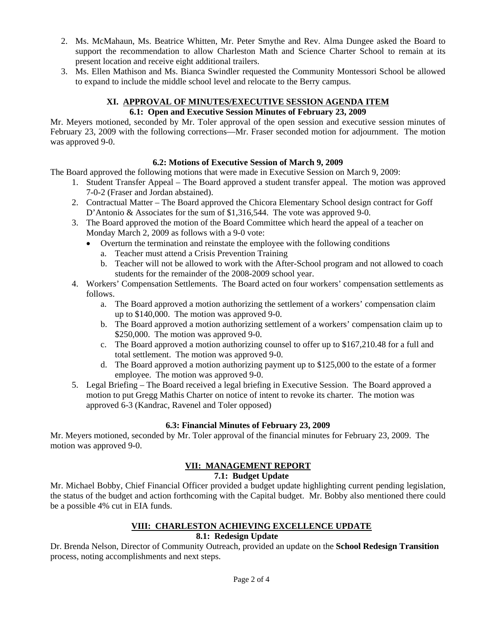- 2. Ms. McMahaun, Ms. Beatrice Whitten, Mr. Peter Smythe and Rev. Alma Dungee asked the Board to support the recommendation to allow Charleston Math and Science Charter School to remain at its present location and receive eight additional trailers.
- 3. Ms. Ellen Mathison and Ms. Bianca Swindler requested the Community Montessori School be allowed to expand to include the middle school level and relocate to the Berry campus.

# **XI. APPROVAL OF MINUTES/EXECUTIVE SESSION AGENDA ITEM**

## **6.1: Open and Executive Session Minutes of February 23, 2009**

Mr. Meyers motioned, seconded by Mr. Toler approval of the open session and executive session minutes of February 23, 2009 with the following corrections—Mr. Fraser seconded motion for adjournment. The motion was approved 9-0.

## **6.2: Motions of Executive Session of March 9, 2009**

The Board approved the following motions that were made in Executive Session on March 9, 2009:

- 1. Student Transfer Appeal The Board approved a student transfer appeal. The motion was approved 7-0-2 (Fraser and Jordan abstained).
- 2. Contractual Matter The Board approved the Chicora Elementary School design contract for Goff D'Antonio & Associates for the sum of \$1,316,544. The vote was approved 9-0.
- 3. The Board approved the motion of the Board Committee which heard the appeal of a teacher on Monday March 2, 2009 as follows with a 9-0 vote:
	- Overturn the termination and reinstate the employee with the following conditions
		- a. Teacher must attend a Crisis Prevention Training
		- b. Teacher will not be allowed to work with the After-School program and not allowed to coach students for the remainder of the 2008-2009 school year.
- 4. Workers' Compensation Settlements. The Board acted on four workers' compensation settlements as follows.
	- a. The Board approved a motion authorizing the settlement of a workers' compensation claim up to \$140,000. The motion was approved 9-0.
	- b. The Board approved a motion authorizing settlement of a workers' compensation claim up to \$250,000. The motion was approved 9-0.
	- c. The Board approved a motion authorizing counsel to offer up to \$167,210.48 for a full and total settlement. The motion was approved 9-0.
	- d. The Board approved a motion authorizing payment up to \$125,000 to the estate of a former employee. The motion was approved 9-0.
- 5. Legal Briefing The Board received a legal briefing in Executive Session. The Board approved a motion to put Gregg Mathis Charter on notice of intent to revoke its charter. The motion was approved 6-3 (Kandrac, Ravenel and Toler opposed)

## **6.3: Financial Minutes of February 23, 2009**

Mr. Meyers motioned, seconded by Mr. Toler approval of the financial minutes for February 23, 2009. The motion was approved 9-0.

# **VII: MANAGEMENT REPORT**

## **7.1: Budget Update**

Mr. Michael Bobby, Chief Financial Officer provided a budget update highlighting current pending legislation, the status of the budget and action forthcoming with the Capital budget. Mr. Bobby also mentioned there could be a possible 4% cut in EIA funds.

# **VIII: CHARLESTON ACHIEVING EXCELLENCE UPDATE**

## **8.1: Redesign Update**

Dr. Brenda Nelson, Director of Community Outreach, provided an update on the **School Redesign Transition**  process, noting accomplishments and next steps.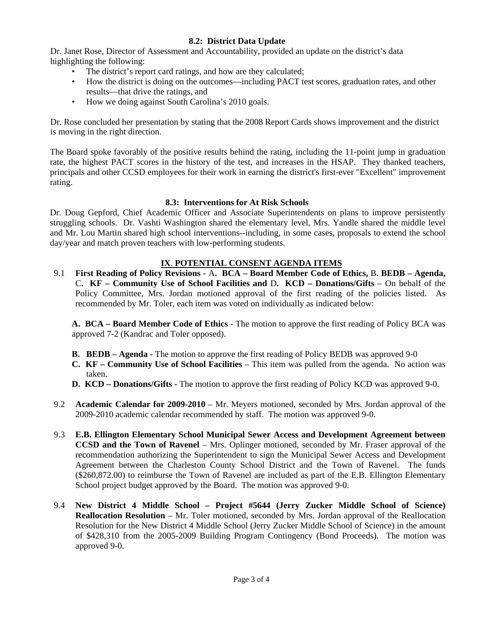## **8.2: District Data Update**

Dr. Janet Rose, Director of Assessment and Accountability, provided an update on the district's data highlighting the following:

- The district's report card ratings, and how are they calculated;
- How the district is doing on the outcomes—including PACT test scores, graduation rates, and other results—that drive the ratings, and
- How we doing against South Carolina's 2010 goals.

Dr. Rose concluded her presentation by stating that the 2008 Report Cards shows improvement and the district is moving in the right direction.

The Board spoke favorably of the positive results behind the rating, including the 11-point jump in graduation rate, the highest PACT scores in the history of the test, and increases in the HSAP. They thanked teachers, principals and other CCSD employees for their work in earning the district's first-ever "Excellent" improvement rating.

## **8.3: Interventions for At Risk Schools**

Dr. Doug Gepford, Chief Academic Officer and Associate Superintendents on plans to improve persistently struggling schools. Dr. Vashti Washington shared the elementary level, Mrs. Yandle shared the middle level and Mr. Lou Martin shared high school interventions--including, in some cases, proposals to extend the school day/year and match proven teachers with low-performing students.

# **IX**. **POTENTIAL CONSENT AGENDA ITEMS**

9.1 **First Reading of Policy Revisions -** A**. BCA – Board Member Code of Ethics,** B**. BEDB – Agenda,**  C**. KF – Community Use of School Facilities and** D**. KCD – Donations/Gifts** – On behalf of the Policy Committee, Mrs. Jordan motioned approval of the first reading of the policies listed. As recommended by Mr. Toler, each item was voted on individually as indicated below:

**A. BCA – Board Member Code of Ethics -** The motion to approve the first reading of Policy BCA was approved 7-2 (Kandrac and Toler opposed).

- **B. BEDB Agenda** The motion to approve the first reading of Policy BEDB was approved 9-0
- **C. KF Community Use of School Facilities**  This item was pulled from the agenda. No action was taken.
- **D. KCD Donations/Gifts -** The motion to approve the first reading of Policy KCD was approved 9-0.
- 9.2 **Academic Calendar for 2009-2010** Mr. Meyers motioned, seconded by Mrs. Jordan approval of the 2009-2010 academic calendar recommended by staff. The motion was approved 9-0.
- 9.3 **E.B. Ellington Elementary School Municipal Sewer Access and Development Agreement between CCSD and the Town of Ravenel** – Mrs. Oplinger motioned, seconded by Mr. Fraser approval of the recommendation authorizing the Superintendent to sign the Municipal Sewer Access and Development Agreement between the Charleston County School District and the Town of Ravenel. The funds (\$260,872.00) to reimburse the Town of Ravenel are included as part of the E.B. Ellington Elementary School project budget approved by the Board. The motion was approved 9-0.
- 9.4 **New District 4 Middle School Project #5644 (Jerry Zucker Middle School of Science) Reallocation Resolution** – Mr. Toler motioned, seconded by Mrs. Jordan approval of the Reallocation Resolution for the New District 4 Middle School (Jerry Zucker Middle School of Science) in the amount of \$428,310 from the 2005-2009 Building Program Contingency (Bond Proceeds). The motion was approved 9-0.